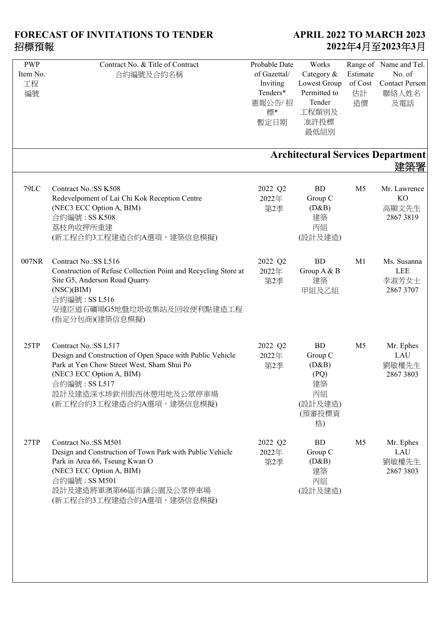| <b>PWP</b>  | Contract No. & Title of Contract                               | Probable Date | Works        |                | Range of Name and Tel.                   |
|-------------|----------------------------------------------------------------|---------------|--------------|----------------|------------------------------------------|
| Item No.    | 合約編號及合約名稱                                                      | of Gazettal/  | Category &   | Estimate       | No. of                                   |
| 工程          |                                                                | Inviting      | Lowest Group | of Cost        | <b>Contact Person</b>                    |
| 編號          |                                                                | Tenders*      | Permitted to | 估計             | 聯絡人姓名                                    |
|             |                                                                | 憲報公告/招        | Tender       | 造價             | 及電話                                      |
|             |                                                                |               | 工程類別及        |                |                                          |
|             |                                                                | 標*            |              |                |                                          |
|             |                                                                | 暫定日期          | 准許投標         |                |                                          |
|             |                                                                |               | 最低組別         |                |                                          |
|             |                                                                |               |              |                |                                          |
|             |                                                                |               |              |                | <b>Architectural Services Department</b> |
|             |                                                                |               |              |                |                                          |
|             |                                                                |               |              |                |                                          |
| <b>79LC</b> | Contract No.: SS K508                                          | 2022 Q2       | <b>BD</b>    | M <sub>5</sub> | Mr. Lawrence                             |
|             | Redevelpoment of Lai Chi Kok Reception Centre                  | 2022年         | Group C      |                | <b>KO</b>                                |
|             | (NEC3 ECC Option A, BIM)                                       | 第2季           | (D&B)        |                | 高顯文先生                                    |
|             | 合約編號: SS K508                                                  |               | 建築           |                | 28673819                                 |
|             | 荔枝角收押所重建                                                       |               | 丙組           |                |                                          |
|             | (新工程合約3工程建造合約A選項,建築信息模擬)                                       |               | (設計及建造)      |                |                                          |
|             |                                                                |               |              |                |                                          |
|             |                                                                |               |              |                |                                          |
| 007NR       | Contract No.: SS L516                                          | 2022 Q2       | <b>BD</b>    | M1             | Ms. Susanna                              |
|             | Construction of Refuse Collection Point and Recycling Store at | 2022年         | Group A & B  |                | LEE                                      |
|             | Site G5, Anderson Road Quarry                                  | 第2季           | 建築           |                | 李淑芳女士                                    |
|             | (NSC)(BIM)                                                     |               | 甲組及乙組        |                | 2867 3707                                |
|             | 合約編號: SS L516                                                  |               |              |                |                                          |
|             | 安達臣道石礦場G5地盤垃圾收集站及回收便利點建造工程                                     |               |              |                |                                          |
|             | (指定分包商)(建築信息模擬)                                                |               |              |                |                                          |
|             |                                                                |               |              |                |                                          |
| 25TP        | Contract No.:SS L517                                           | 2022 Q2       | BD           | M <sub>5</sub> | Mr. Ephes                                |
|             | Design and Construction of Open Space with Public Vehicle      | 2022年         | Group C      |                | LAU                                      |
|             | Park at Yen Chow Street West, Sham Shui Po                     | 第2季           | (D&B)        |                | 劉敏權先生                                    |
|             | (NEC3 ECC Option A, BIM)                                       |               | (PQ)         |                | 2867 3803                                |
|             | 合約編號: SS L517                                                  |               | 建築           |                |                                          |
|             | 設計及建造深水埗欽州街西休憩用地及公眾停車場                                         |               | 丙組           |                |                                          |
|             |                                                                |               |              |                |                                          |
|             | (新工程合約3工程建造合約A選項,建築信息模擬)                                       |               | (設計及建造)      |                |                                          |
|             |                                                                |               | (預審投標資       |                |                                          |
|             |                                                                |               | 格)           |                |                                          |
| 27TP        | Contract No.: SS M501                                          | 2022 Q2       | <b>BD</b>    | M <sub>5</sub> | Mr. Ephes                                |
|             | Design and Construction of Town Park with Public Vehicle       | 2022年         | Group C      |                | LAU                                      |
|             | Park in Area 66, Tseung Kwan O                                 | 第2季           | (D&B)        |                | 劉敏權先生                                    |
|             | (NEC3 ECC Option A, BIM)                                       |               | 建築           |                | 2867 3803                                |
|             |                                                                |               |              |                |                                          |
|             | 合約編號: SS M501                                                  |               | 丙組           |                |                                          |
|             | 設計及建造將軍澳第66區市鎮公園及公眾停車場                                         |               | (設計及建造)      |                |                                          |
|             | (新工程合約3工程建造合約A選項,建築信息模擬)                                       |               |              |                |                                          |
|             |                                                                |               |              |                |                                          |
|             |                                                                |               |              |                |                                          |
|             |                                                                |               |              |                |                                          |
|             |                                                                |               |              |                |                                          |
|             |                                                                |               |              |                |                                          |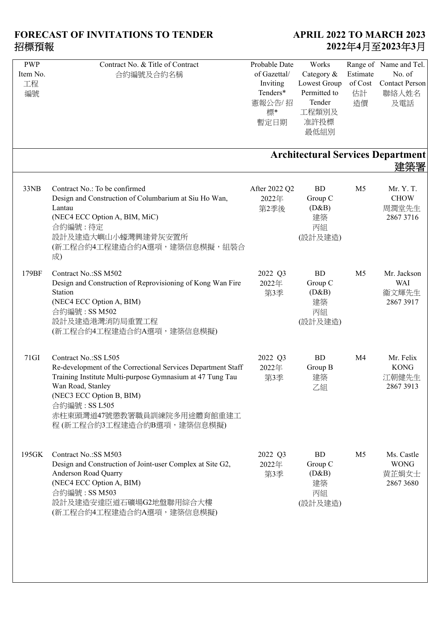| 合約編號及合約名稱                                                                                                                                                                                                                                                                      | Probable Date<br>of Gazettal/<br>Inviting<br>Tenders*<br>憲報公告/招<br>標*<br>暫定日期 | Works<br>Category &<br>Lowest Group<br>Permitted to<br>Tender<br>工程類別及<br>准許投標<br>最低組別 | Estimate<br>of $\mathop{\mathsf{Cost}}$<br>估計<br>造價 | Range of Name and Tel.<br>No. of<br><b>Contact Person</b><br>聯絡人姓名<br>及電話 |
|--------------------------------------------------------------------------------------------------------------------------------------------------------------------------------------------------------------------------------------------------------------------------------|-------------------------------------------------------------------------------|----------------------------------------------------------------------------------------|-----------------------------------------------------|---------------------------------------------------------------------------|
|                                                                                                                                                                                                                                                                                |                                                                               |                                                                                        |                                                     | 建築署                                                                       |
| Contract No.: To be confirmed<br>Design and Construction of Columbarium at Siu Ho Wan,<br>Lantau<br>(NEC4 ECC Option A, BIM, MiC)<br>合約編號:待定<br>設計及建造大嶼山小蠔灣興建骨灰安置所<br>(新工程合約4工程建造合約A選項,建築信息模擬,組裝合<br>成)                                                                        | After 2022 Q2<br>2022年<br>第2季後                                                | BD<br>Group C<br>(D&B)<br>建築<br>丙組<br>(設計及建造)                                          | M <sub>5</sub>                                      | Mr. Y. T.<br><b>CHOW</b><br>周潤堂先生<br>2867 3716                            |
| Contract No.:SS M502<br>Design and Construction of Reprovisioning of Kong Wan Fire<br>Station<br>(NEC4 ECC Option A, BIM)<br>合約編號: SS M502<br>設計及建造港灣消防局重置工程<br>(新工程合約4工程建造合約A選項,建築信息模擬)                                                                                       | 2022 Q3<br>2022年<br>第3季                                                       | <b>BD</b><br>Group C<br>(D&B)<br>建築<br>丙組<br>(設計及建造)                                   | M <sub>5</sub>                                      | Mr. Jackson<br><b>WAI</b><br>衞文輝先生<br>2867 3917                           |
| Contract No.:SS L505<br>Re-development of the Correctional Services Department Staff<br>Training Institute Multi-purpose Gymnasium at 47 Tung Tau<br>Wan Road, Stanley<br>(NEC3 ECC Option B, BIM)<br>合約編號: SS L505<br>赤柱東頭灣道47號懲教署職員訓練院多用途體育館重建工<br>程(新工程合約3工程建造合約B選項,建築信息模擬) | 2022 Q3<br>2022年<br>第3季                                                       | <b>BD</b><br>Group B<br>建築<br>乙組                                                       | M4                                                  | Mr. Felix<br><b>KONG</b><br>江朝健先生<br>28673913                             |
| Contract No.: SS M503<br>Design and Construction of Joint-user Complex at Site G2,<br>Anderson Road Quarry<br>(NEC4 ECC Option A, BIM)<br>合約編號: SS M503<br>設計及建造安達臣道石礦場G2地盤聯用綜合大樓<br>(新工程合約4工程建造合約A選項,建築信息模擬)                                                                  | 2022 Q3<br>2022年<br>第3季                                                       | <b>BD</b><br>Group C<br>(D&B)<br>建築<br>丙組<br>(設計及建造)                                   | M <sub>5</sub>                                      | Ms. Castle<br><b>WONG</b><br>黄芷娟女士<br>2867 3680                           |
|                                                                                                                                                                                                                                                                                | Contract No. & Title of Contract                                              |                                                                                        |                                                     | <b>Architectural Services Department</b>                                  |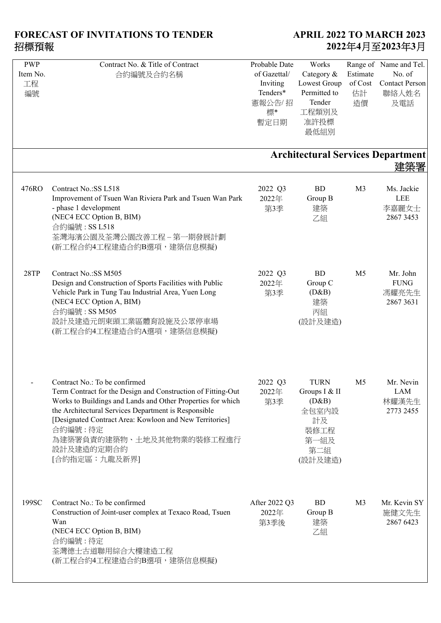| <b>PWP</b><br>Item No.<br>工程<br>編號 | Contract No. & Title of Contract<br>合約編號及合約名稱                                                                                                                                                                                                                                                                                                          | Probable Date<br>of Gazettal/<br>Inviting<br>Tenders*<br>憲報公告/招<br>標*<br>暫定日期 | Works<br>Category &<br>Lowest Group<br>Permitted to<br>Tender<br>工程類別及<br>准許投標<br>最低組別 | Estimate<br>of Cost<br>估計<br>造價 | Range of Name and Tel.<br>No. of<br><b>Contact Person</b><br>聯絡人姓名<br>及電話 |
|------------------------------------|--------------------------------------------------------------------------------------------------------------------------------------------------------------------------------------------------------------------------------------------------------------------------------------------------------------------------------------------------------|-------------------------------------------------------------------------------|----------------------------------------------------------------------------------------|---------------------------------|---------------------------------------------------------------------------|
|                                    |                                                                                                                                                                                                                                                                                                                                                        |                                                                               |                                                                                        |                                 | <b>Architectural Services Department</b><br>建築署                           |
| 476RO                              | Contract No.:SS L518<br>Improvement of Tsuen Wan Riviera Park and Tsuen Wan Park<br>- phase 1 development<br>(NEC4 ECC Option B, BIM)<br>合約編號: SS L518<br>荃灣海濱公園及荃灣公園改善工程-第一期發展計劃<br>(新工程合約4工程建造合約B選項,建築信息模擬)                                                                                                                                          | 2022 Q3<br>2022年<br>第3季                                                       | <b>BD</b><br>Group B<br>建築<br>乙組                                                       | M <sub>3</sub>                  | Ms. Jackie<br><b>LEE</b><br>李嘉麗女士<br>2867 3453                            |
| 28TP                               | Contract No.: SS M505<br>Design and Construction of Sports Facilities with Public<br>Vehicle Park in Tung Tau Industrial Area, Yuen Long<br>(NEC4 ECC Option A, BIM)<br>合約編號: SS M505<br>設計及建造元朗東頭工業區體育設施及公眾停車場<br>(新工程合約4工程建造合約A選項,建築信息模擬)                                                                                                            | 2022 Q3<br>2022年<br>第3季                                                       | <b>BD</b><br>Group C<br>(D&B)<br>建築<br>丙組<br>(設計及建造)                                   | M <sub>5</sub>                  | Mr. John<br><b>FUNG</b><br>馮耀亮先生<br>2867 3631                             |
|                                    | Contract No.: To be confirmed<br>Term Contract for the Design and Construction of Fitting-Out<br>Works to Buildings and Lands and Other Properties for which<br>the Architectural Services Department is Responsible<br>[Designated Contract Area: Kowloon and New Territories]<br>合約編號:待定<br>為建築署負責的建築物、土地及其他物業的裝修工程進行<br>設計及建造的定期合約<br>[合約指定區:九龍及新界] | 2022 Q3<br>2022年<br>第3季                                                       | <b>TURN</b><br>Groups I & II<br>(D&B)<br>全包室内設<br>計及<br>裝修工程<br>第一組及<br>第二組<br>(設計及建造) | M <sub>5</sub>                  | Mr. Nevin<br>LAM<br>林耀漢先生<br>2773 2455                                    |
| 199SC                              | Contract No.: To be confirmed<br>Construction of Joint-user complex at Texaco Road, Tsuen<br>Wan<br>(NEC4 ECC Option B, BIM)<br>合約編號:待定<br>荃灣德士古道聯用綜合大樓建造工程<br>(新工程合約4工程建造合約B選項,建築信息模擬)                                                                                                                                                                | After 2022 Q3<br>2022年<br>第3季後                                                | <b>BD</b><br>Group B<br>建築<br>乙組                                                       | M <sub>3</sub>                  | Mr. Kevin SY<br>施健文先生<br>2867 6423                                        |